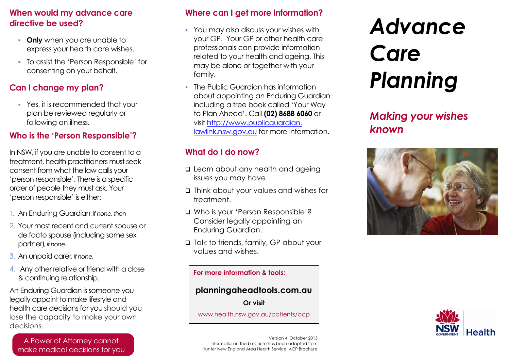## **When would my advance care directive be used?**

- **Conly** when you are unable to express your health care wishes.
- To assist the 'Person Responsible' for consenting on your behalf.

## **Can I change my plan?**

 Yes, it is recommended that your plan be reviewed regularly or following an illness.

## **Who is the 'Person Responsible'?**

In NSW, if you are unable to consent to a treatment, health practitioners must seek consent from what the law calls your 'person responsible'. There is a specific order of people they must ask. Your 'person responsible' is either:

- 1. An Enduring Guardian, *if none, then*
- 2. Your most recent and current spouse or de facto spouse (including same sex partner)*, if none,*
- 3. An unpaid carer*, if none,*
- 4. Any other relative or friend with a close & continuing relationship.

An Enduring Guardian is someone you legally appoint to make lifestyle and health care decisions for you should you lose the capacity to make your own decisions.

A Power of Attorney cannot make medical decisions for you

#### **Where can I get more information?**

- You may also discuss your wishes with your GP. Your GP or other health care professionals can provide information related to your health and ageing. This may be alone or together with your family.
- **The Public Guardian has information** about appointing an Enduring Guardian including a free book called 'Your Way to Plan Ahead'. Call **(02) 8688 6060** or visit http://www.publicguardian. lawlink.nsw.gov.au for more information.

## **What do I do now?**

- **Q** Learn about any health and ageing issues you may have.
- Think about your values and wishes for treatment.
- Who is your 'Person Responsible'? Consider legally appointing an Enduring Guardian.
- □ Talk to friends, family, GP about your values and wishes.

#### **For more information & tools:**

#### **planningaheadtools.com.au**

**Or visit**

[www.health.nsw.gov.au/patients/acp](http://www.health.nsw.gov.au/patients/acp)

Version 4: October 2013 Information in the brochure has been adapted from Hunter New England Area Health Service, ACP Brochure

# *Advance Care Planning*

*Making your wishes known*